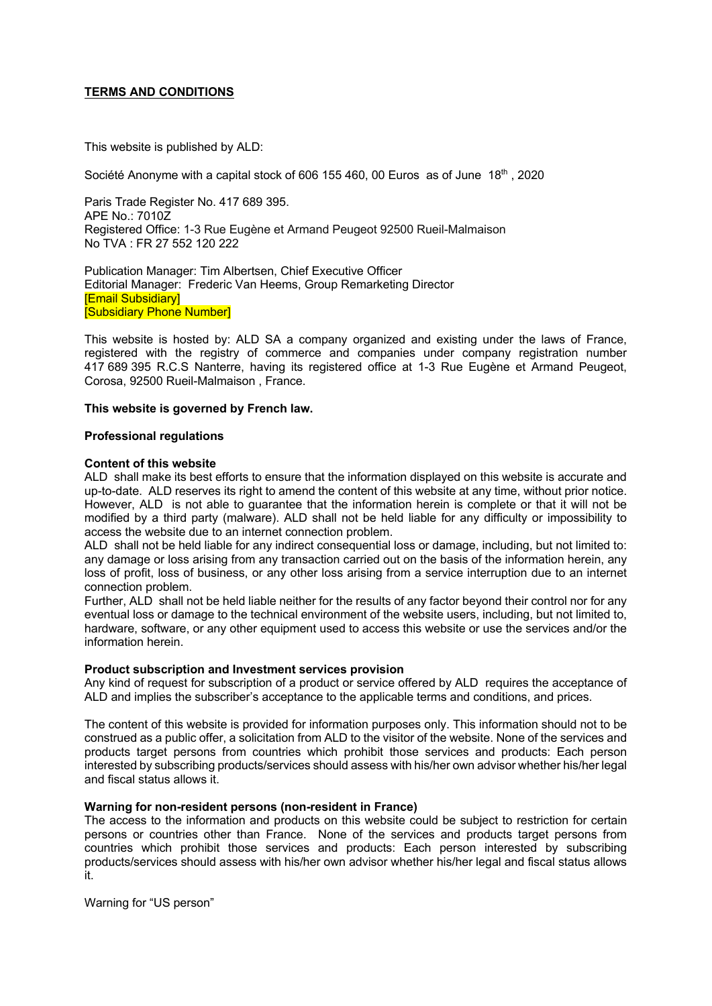# **TERMS AND CONDITIONS**

This website is published by ALD:

Société Anonyme with a capital stock of 606 155 460, 00 Euros as of June 18<sup>th</sup>, 2020

Paris Trade Register No. 417 689 395. APE No.: 7010Z Registered Office: 1-3 Rue Eugène et Armand Peugeot 92500 Rueil-Malmaison No TVA : FR 27 552 120 222

Publication Manager: Tim Albertsen, Chief Executive Officer Editorial Manager: Frederic Van Heems, Group Remarketing Director [Email Subsidiary] [Subsidiary Phone Number]

This website is hosted by: ALD SA a company organized and existing under the laws of France, registered with the registry of commerce and companies under company registration number 417 689 395 R.C.S Nanterre, having its registered office at 1-3 Rue Eugène et Armand Peugeot, Corosa, 92500 Rueil-Malmaison , France.

# **This website is governed by French law.**

# **Professional regulations**

# **Content of this website**

ALD shall make its best efforts to ensure that the information displayed on this website is accurate and up-to-date. ALD reserves its right to amend the content of this website at any time, without prior notice. However, ALD is not able to guarantee that the information herein is complete or that it will not be modified by a third party (malware). ALD shall not be held liable for any difficulty or impossibility to access the website due to an internet connection problem.

ALD shall not be held liable for any indirect consequential loss or damage, including, but not limited to: any damage or loss arising from any transaction carried out on the basis of the information herein, any loss of profit, loss of business, or any other loss arising from a service interruption due to an internet connection problem.

Further, ALD shall not be held liable neither for the results of any factor beyond their control nor for any eventual loss or damage to the technical environment of the website users, including, but not limited to, hardware, software, or any other equipment used to access this website or use the services and/or the information herein.

#### **Product subscription and Investment services provision**

Any kind of request for subscription of a product or service offered by ALD requires the acceptance of ALD and implies the subscriber's acceptance to the applicable terms and conditions, and prices.

The content of this website is provided for information purposes only. This information should not to be construed as a public offer, a solicitation from ALD to the visitor of the website. None of the services and products target persons from countries which prohibit those services and products: Each person interested by subscribing products/services should assess with his/her own advisor whether his/her legal and fiscal status allows it.

# **Warning for non-resident persons (non-resident in France)**

The access to the information and products on this website could be subject to restriction for certain persons or countries other than France. None of the services and products target persons from countries which prohibit those services and products: Each person interested by subscribing products/services should assess with his/her own advisor whether his/her legal and fiscal status allows it.

Warning for "US person"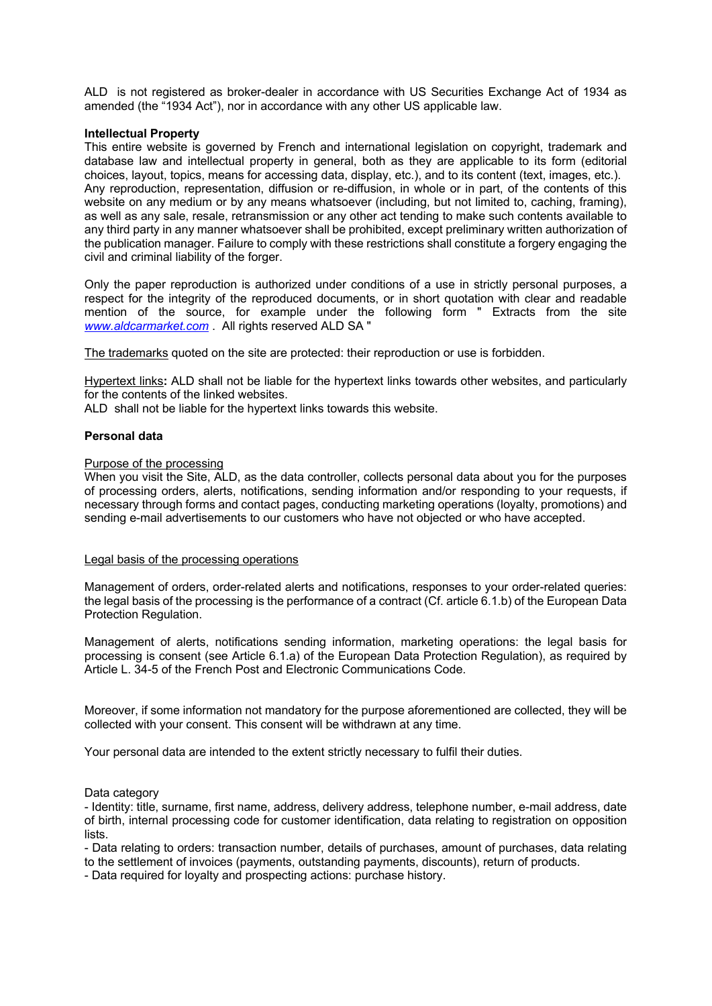ALD is not registered as broker-dealer in accordance with US Securities Exchange Act of 1934 as amended (the "1934 Act"), nor in accordance with any other US applicable law.

### **Intellectual Property**

This entire website is governed by French and international legislation on copyright, trademark and database law and intellectual property in general, both as they are applicable to its form (editorial choices, layout, topics, means for accessing data, display, etc.), and to its content (text, images, etc.). Any reproduction, representation, diffusion or re-diffusion, in whole or in part, of the contents of this website on any medium or by any means whatsoever (including, but not limited to, caching, framing), as well as any sale, resale, retransmission or any other act tending to make such contents available to any third party in any manner whatsoever shall be prohibited, except preliminary written authorization of the publication manager. Failure to comply with these restrictions shall constitute a forgery engaging the civil and criminal liability of the forger.

Only the paper reproduction is authorized under conditions of a use in strictly personal purposes, a respect for the integrity of the reproduced documents, or in short quotation with clear and readable mention of the source, for example under the following form " Extracts from the site *www.aldcarmarket.com* . All rights reserved ALD SA "

The trademarks quoted on the site are protected: their reproduction or use is forbidden.

Hypertext links**:** ALD shall not be liable for the hypertext links towards other websites, and particularly for the contents of the linked websites.

ALD shall not be liable for the hypertext links towards this website.

# **Personal data**

### Purpose of the processing

When you visit the Site, ALD, as the data controller, collects personal data about you for the purposes of processing orders, alerts, notifications, sending information and/or responding to your requests, if necessary through forms and contact pages, conducting marketing operations (loyalty, promotions) and sending e-mail advertisements to our customers who have not objected or who have accepted.

# Legal basis of the processing operations

Management of orders, order-related alerts and notifications, responses to your order-related queries: the legal basis of the processing is the performance of a contract (Cf. article 6.1.b) of the European Data Protection Regulation.

Management of alerts, notifications sending information, marketing operations: the legal basis for processing is consent (see Article 6.1.a) of the European Data Protection Regulation), as required by Article L. 34-5 of the French Post and Electronic Communications Code.

Moreover, if some information not mandatory for the purpose aforementioned are collected, they will be collected with your consent. This consent will be withdrawn at any time.

Your personal data are intended to the extent strictly necessary to fulfil their duties.

#### Data category

- Identity: title, surname, first name, address, delivery address, telephone number, e-mail address, date of birth, internal processing code for customer identification, data relating to registration on opposition lists.

- Data relating to orders: transaction number, details of purchases, amount of purchases, data relating to the settlement of invoices (payments, outstanding payments, discounts), return of products.

- Data required for loyalty and prospecting actions: purchase history.